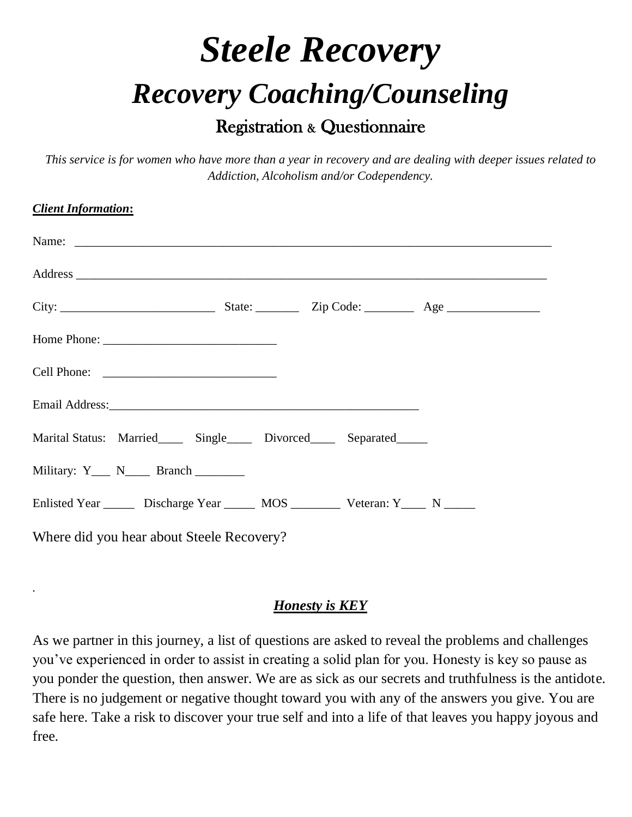## *Steele Recovery Recovery Coaching/Counseling* Registration & Questionnaire

*This service is for women who have more than a year in recovery and are dealing with deeper issues related to Addiction, Alcoholism and/or Codependency.*

| <b>Client Information:</b>                                                                 |
|--------------------------------------------------------------------------------------------|
|                                                                                            |
|                                                                                            |
|                                                                                            |
|                                                                                            |
|                                                                                            |
|                                                                                            |
| Marital Status: Married______ Single______ Divorced______ Separated______                  |
| Military: Y___ N____ Branch _______                                                        |
| Enlisted Year ________ Discharge Year ________ MOS _____________ Veteran: Y______ N ______ |
| Where did you hear about Steele Recovery?                                                  |

## *Honesty is KEY*

*.*

As we partner in this journey, a list of questions are asked to reveal the problems and challenges you've experienced in order to assist in creating a solid plan for you. Honesty is key so pause as you ponder the question, then answer. We are as sick as our secrets and truthfulness is the antidote. There is no judgement or negative thought toward you with any of the answers you give. You are safe here. Take a risk to discover your true self and into a life of that leaves you happy joyous and free.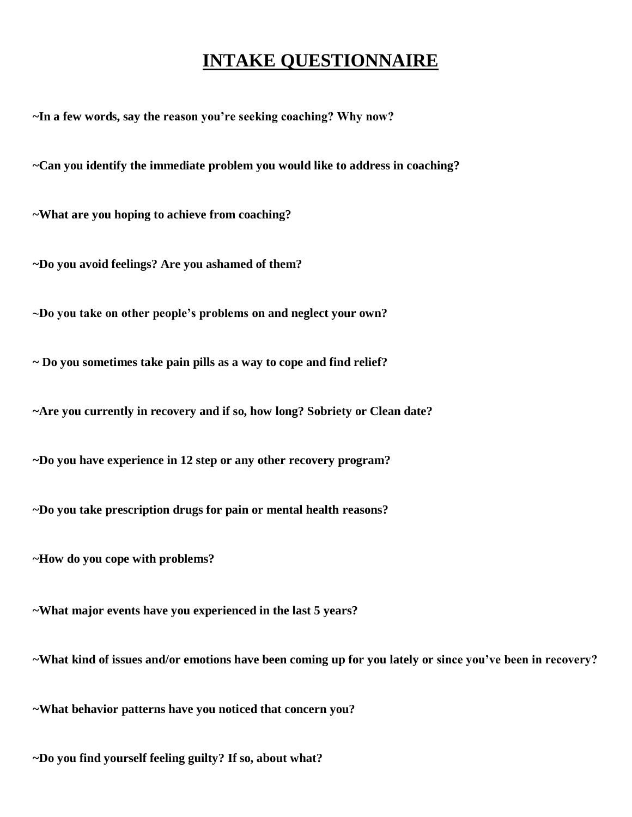## **INTAKE QUESTIONNAIRE**

**~In a few words, say the reason you're seeking coaching? Why now?**

**~Can you identify the immediate problem you would like to address in coaching?**

**~What are you hoping to achieve from coaching?**

**~Do you avoid feelings? Are you ashamed of them?**

**~Do you take on other people's problems on and neglect your own?**

**~ Do you sometimes take pain pills as a way to cope and find relief?**

**~Are you currently in recovery and if so, how long? Sobriety or Clean date?**

**~Do you have experience in 12 step or any other recovery program?**

**~Do you take prescription drugs for pain or mental health reasons?**

**~How do you cope with problems?**

**~What major events have you experienced in the last 5 years?**

**~What kind of issues and/or emotions have been coming up for you lately or since you've been in recovery?**

**~What behavior patterns have you noticed that concern you?**

**~Do you find yourself feeling guilty? If so, about what?**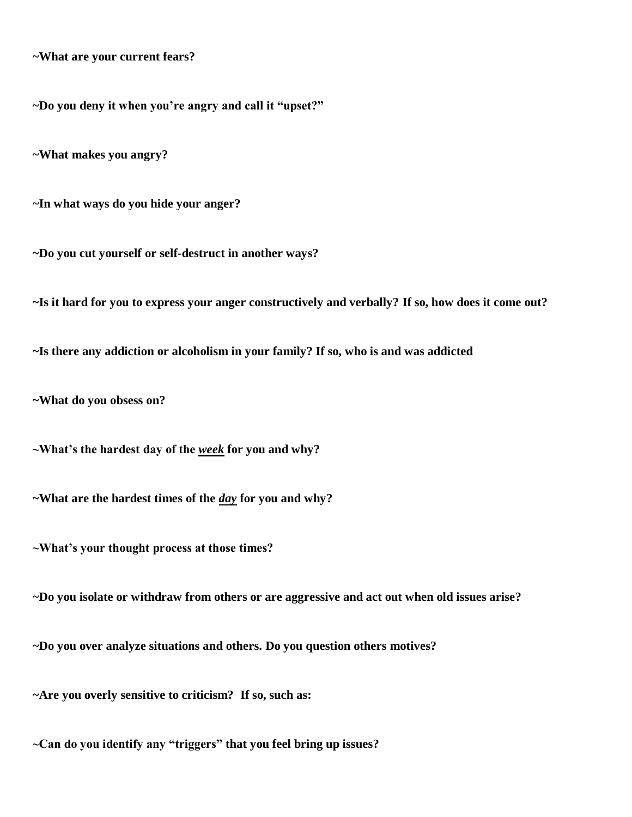**~What are your current fears?**

**~Do you deny it when you're angry and call it "upset?"**

**~What makes you angry?**

**~In what ways do you hide your anger?**

**~Do you cut yourself or self-destruct in another ways?**

**~Is it hard for you to express your anger constructively and verbally? If so, how does it come out?**

**~Is there any addiction or alcoholism in your family? If so, who is and was addicted**

**~What do you obsess on?**

**~What's the hardest day of the** *week* **for you and why?**

**~What are the hardest times of the** *day* **for you and why?** 

**~What's your thought process at those times?**

**~Do you isolate or withdraw from others or are aggressive and act out when old issues arise?**

**~Do you over analyze situations and others. Do you question others motives?**

**~Are you overly sensitive to criticism? If so, such as:**

**~Can do you identify any "triggers" that you feel bring up issues?**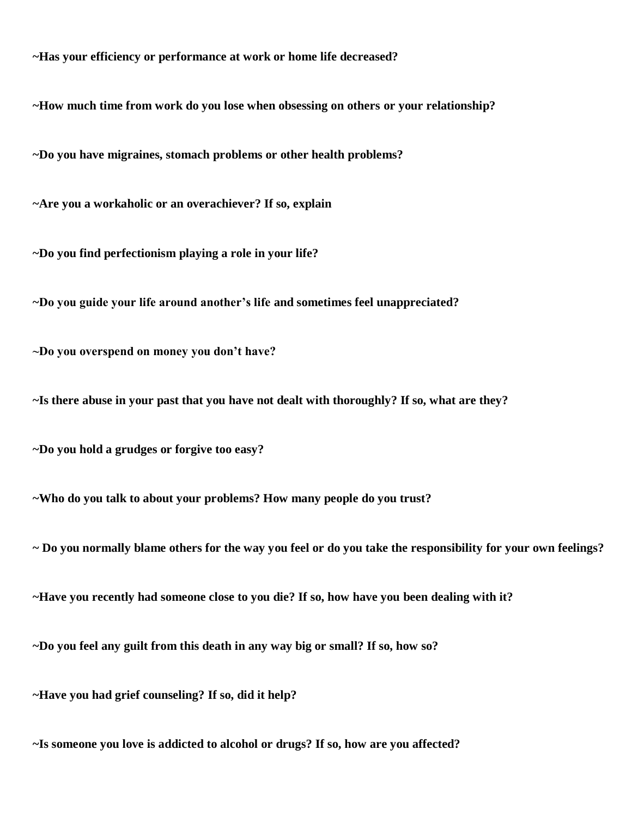**~Has your efficiency or performance at work or home life decreased?**

**~How much time from work do you lose when obsessing on others or your relationship?**

**~Do you have migraines, stomach problems or other health problems?**

**~Are you a workaholic or an overachiever? If so, explain**

**~Do you find perfectionism playing a role in your life?**

**~Do you guide your life around another's life and sometimes feel unappreciated?**

**~Do you overspend on money you don't have?**

**~Is there abuse in your past that you have not dealt with thoroughly? If so, what are they?**

**~Do you hold a grudges or forgive too easy?**

**~Who do you talk to about your problems? How many people do you trust?**

**~ Do you normally blame others for the way you feel or do you take the responsibility for your own feelings?**

**~Have you recently had someone close to you die? If so, how have you been dealing with it?**

**~Do you feel any guilt from this death in any way big or small? If so, how so?**

**~Have you had grief counseling? If so, did it help?**

**~Is someone you love is addicted to alcohol or drugs? If so, how are you affected?**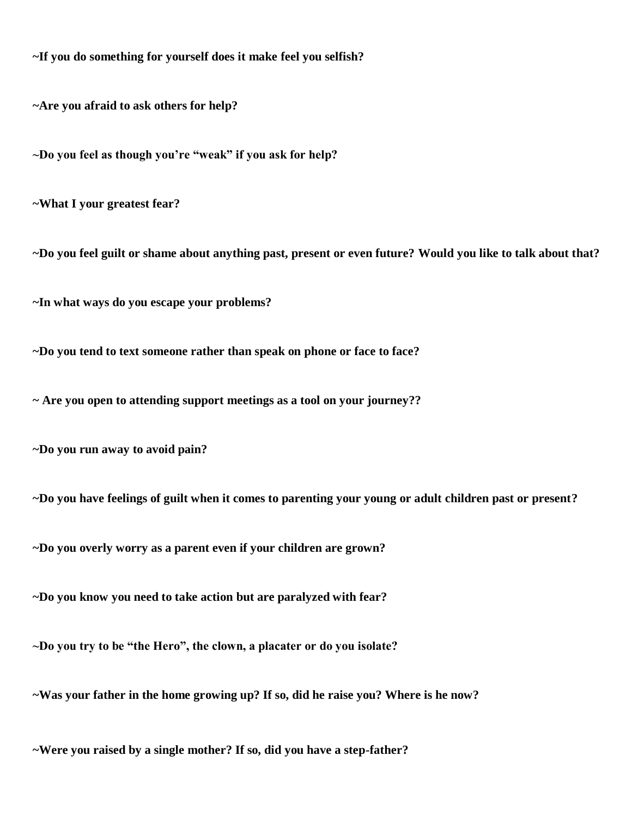**~If you do something for yourself does it make feel you selfish?**

**~Are you afraid to ask others for help?**

**~Do you feel as though you're "weak" if you ask for help?**

**~What I your greatest fear?**

**~Do you feel guilt or shame about anything past, present or even future? Would you like to talk about that?**

**~In what ways do you escape your problems?**

**~Do you tend to text someone rather than speak on phone or face to face?**

**~ Are you open to attending support meetings as a tool on your journey??**

**~Do you run away to avoid pain?**

**~Do you have feelings of guilt when it comes to parenting your young or adult children past or present?**

**~Do you overly worry as a parent even if your children are grown?**

**~Do you know you need to take action but are paralyzed with fear?**

**~Do you try to be "the Hero", the clown, a placater or do you isolate?**

**~Was your father in the home growing up? If so, did he raise you? Where is he now?**

**~Were you raised by a single mother? If so, did you have a step-father?**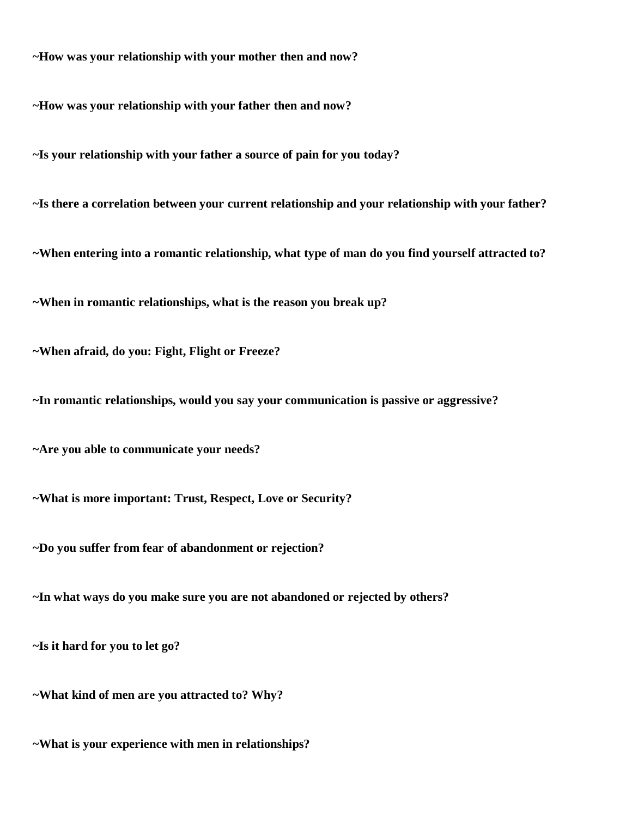**~How was your relationship with your mother then and now?**

**~How was your relationship with your father then and now?** 

**~Is your relationship with your father a source of pain for you today?**

**~Is there a correlation between your current relationship and your relationship with your father?**

**~When entering into a romantic relationship, what type of man do you find yourself attracted to?**

**~When in romantic relationships, what is the reason you break up?**

**~When afraid, do you: Fight, Flight or Freeze?**

**~In romantic relationships, would you say your communication is passive or aggressive?**

**~Are you able to communicate your needs?**

**~What is more important: Trust, Respect, Love or Security?**

**~Do you suffer from fear of abandonment or rejection?**

**~In what ways do you make sure you are not abandoned or rejected by others?**

**~Is it hard for you to let go?** 

**~What kind of men are you attracted to? Why?**

**~What is your experience with men in relationships?**